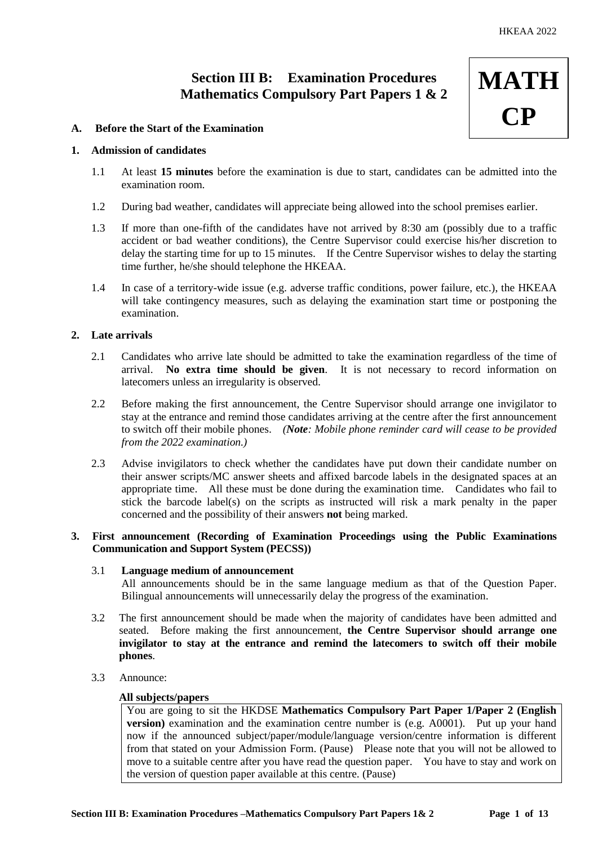**MATH**

**CP**

## **Section III B: Examination Procedures Mathematics Compulsory Part Papers 1 & 2**

# **A. Before the Start of the Examination**

## **1. Admission of candidates**

- 1.1 At least **15 minutes** before the examination is due to start, candidates can be admitted into the examination room.
- 1.2 During bad weather, candidates will appreciate being allowed into the school premises earlier.
- 1.3 If more than one-fifth of the candidates have not arrived by 8:30 am (possibly due to a traffic accident or bad weather conditions), the Centre Supervisor could exercise his/her discretion to delay the starting time for up to 15 minutes. If the Centre Supervisor wishes to delay the starting time further, he/she should telephone the HKEAA.
- 1.4 In case of a territory-wide issue (e.g. adverse traffic conditions, power failure, etc.), the HKEAA will take contingency measures, such as delaying the examination start time or postponing the examination.

## **2. Late arrivals**

- 2.1 Candidates who arrive late should be admitted to take the examination regardless of the time of arrival. **No extra time should be given**. It is not necessary to record information on latecomers unless an irregularity is observed.
- 2.2 Before making the first announcement, the Centre Supervisor should arrange one invigilator to stay at the entrance and remind those candidates arriving at the centre after the first announcement to switch off their mobile phones. *(Note: Mobile phone reminder card will cease to be provided from the 2022 examination.)*
- 2.3 Advise invigilators to check whether the candidates have put down their candidate number on their answer scripts/MC answer sheets and affixed barcode labels in the designated spaces at an appropriate time. All these must be done during the examination time. Candidates who fail to stick the barcode label(s) on the scripts as instructed will risk a mark penalty in the paper concerned and the possibility of their answers **not** being marked.

## **3. First announcement (Recording of Examination Proceedings using the Public Examinations Communication and Support System (PECSS))**

# 3.1 **Language medium of announcement**

All announcements should be in the same language medium as that of the Question Paper. Bilingual announcements will unnecessarily delay the progress of the examination.

- 3.2 The first announcement should be made when the majority of candidates have been admitted and seated. Before making the first announcement, **the Centre Supervisor should arrange one invigilator to stay at the entrance and remind the latecomers to switch off their mobile phones**.
- 3.3 Announce:

## **All subjects/papers**

You are going to sit the HKDSE **Mathematics Compulsory Part Paper 1/Paper 2 (English version**) examination and the examination centre number is (e.g. A0001). Put up your hand now if the announced subject/paper/module/language version/centre information is different from that stated on your Admission Form. (Pause) Please note that you will not be allowed to move to a suitable centre after you have read the question paper. You have to stay and work on the version of question paper available at this centre. (Pause)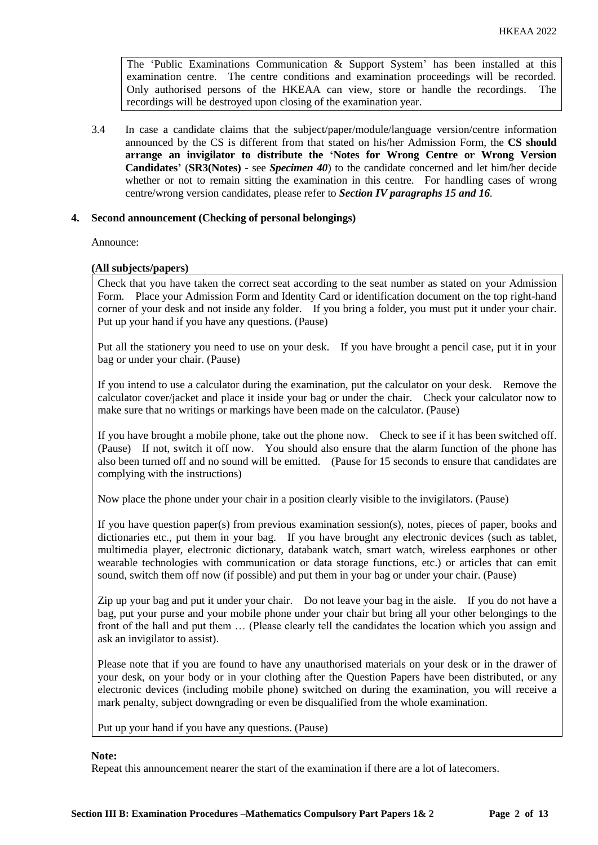The 'Public Examinations Communication & Support System' has been installed at this examination centre. The centre conditions and examination proceedings will be recorded. Only authorised persons of the HKEAA can view, store or handle the recordings. The recordings will be destroyed upon closing of the examination year.

3.4 In case a candidate claims that the subject/paper/module/language version/centre information announced by the CS is different from that stated on his/her Admission Form, the **CS should arrange an invigilator to distribute the 'Notes for Wrong Centre or Wrong Version Candidates'** (**SR3(Notes)** - see *Specimen 40*) to the candidate concerned and let him/her decide whether or not to remain sitting the examination in this centre. For handling cases of wrong centre/wrong version candidates, please refer to *Section IV paragraphs 15 and 16*.

## **4. Second announcement (Checking of personal belongings)**

Announce:

## **(All subjects/papers)**

Check that you have taken the correct seat according to the seat number as stated on your Admission Form. Place your Admission Form and Identity Card or identification document on the top right-hand corner of your desk and not inside any folder. If you bring a folder, you must put it under your chair. Put up your hand if you have any questions. (Pause)

Put all the stationery you need to use on your desk. If you have brought a pencil case, put it in your bag or under your chair. (Pause)

If you intend to use a calculator during the examination, put the calculator on your desk. Remove the calculator cover/jacket and place it inside your bag or under the chair. Check your calculator now to make sure that no writings or markings have been made on the calculator. (Pause)

If you have brought a mobile phone, take out the phone now. Check to see if it has been switched off. (Pause) If not, switch it off now. You should also ensure that the alarm function of the phone has also been turned off and no sound will be emitted. (Pause for 15 seconds to ensure that candidates are complying with the instructions)

Now place the phone under your chair in a position clearly visible to the invigilators. (Pause)

If you have question paper(s) from previous examination session(s), notes, pieces of paper, books and dictionaries etc., put them in your bag. If you have brought any electronic devices (such as tablet, multimedia player, electronic dictionary, databank watch, smart watch, wireless earphones or other wearable technologies with communication or data storage functions, etc.) or articles that can emit sound, switch them off now (if possible) and put them in your bag or under your chair. (Pause)

Zip up your bag and put it under your chair. Do not leave your bag in the aisle. If you do not have a bag, put your purse and your mobile phone under your chair but bring all your other belongings to the front of the hall and put them … (Please clearly tell the candidates the location which you assign and ask an invigilator to assist).

Please note that if you are found to have any unauthorised materials on your desk or in the drawer of your desk, on your body or in your clothing after the Question Papers have been distributed, or any electronic devices (including mobile phone) switched on during the examination, you will receive a mark penalty, subject downgrading or even be disqualified from the whole examination.

Put up your hand if you have any questions. (Pause)

#### **Note:**

Repeat this announcement nearer the start of the examination if there are a lot of latecomers.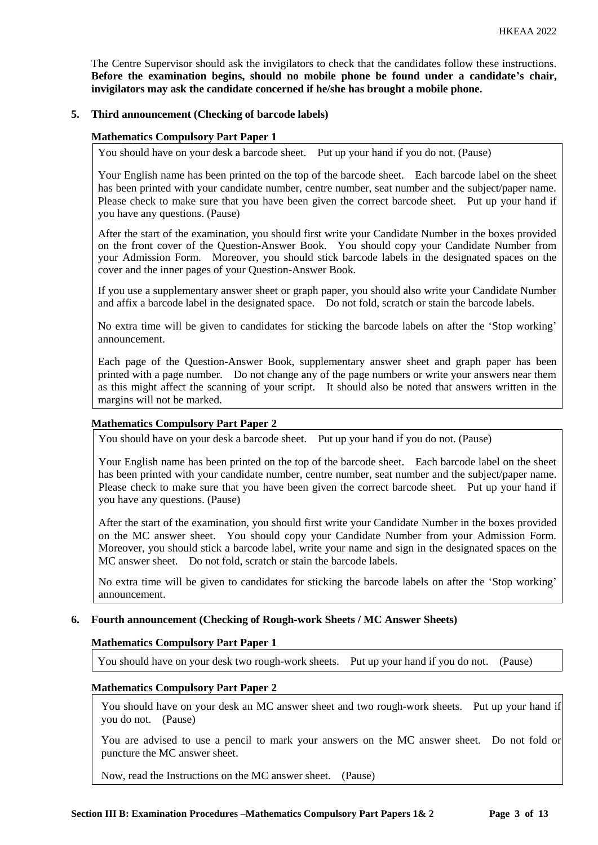The Centre Supervisor should ask the invigilators to check that the candidates follow these instructions. **Before the examination begins, should no mobile phone be found under a candidate's chair, invigilators may ask the candidate concerned if he/she has brought a mobile phone.**

## **5. Third announcement (Checking of barcode labels)**

## **Mathematics Compulsory Part Paper 1**

You should have on your desk a barcode sheet. Put up your hand if you do not. (Pause)

Your English name has been printed on the top of the barcode sheet. Each barcode label on the sheet has been printed with your candidate number, centre number, seat number and the subject/paper name. Please check to make sure that you have been given the correct barcode sheet. Put up your hand if you have any questions. (Pause)

After the start of the examination, you should first write your Candidate Number in the boxes provided on the front cover of the Question-Answer Book. You should copy your Candidate Number from your Admission Form. Moreover, you should stick barcode labels in the designated spaces on the cover and the inner pages of your Question-Answer Book.

If you use a supplementary answer sheet or graph paper, you should also write your Candidate Number and affix a barcode label in the designated space. Do not fold, scratch or stain the barcode labels.

No extra time will be given to candidates for sticking the barcode labels on after the 'Stop working' announcement.

Each page of the Question-Answer Book, supplementary answer sheet and graph paper has been printed with a page number. Do not change any of the page numbers or write your answers near them as this might affect the scanning of your script. It should also be noted that answers written in the margins will not be marked.

## **Mathematics Compulsory Part Paper 2**

You should have on your desk a barcode sheet. Put up your hand if you do not. (Pause)

Your English name has been printed on the top of the barcode sheet. Each barcode label on the sheet has been printed with your candidate number, centre number, seat number and the subject/paper name. Please check to make sure that you have been given the correct barcode sheet. Put up your hand if you have any questions. (Pause)

After the start of the examination, you should first write your Candidate Number in the boxes provided on the MC answer sheet. You should copy your Candidate Number from your Admission Form. Moreover, you should stick a barcode label, write your name and sign in the designated spaces on the MC answer sheet. Do not fold, scratch or stain the barcode labels.

No extra time will be given to candidates for sticking the barcode labels on after the 'Stop working' announcement.

## **6. Fourth announcement (Checking of Rough-work Sheets / MC Answer Sheets)**

## **Mathematics Compulsory Part Paper 1**

You should have on your desk two rough-work sheets. Put up your hand if you do not. (Pause)

## **Mathematics Compulsory Part Paper 2**

You should have on your desk an MC answer sheet and two rough-work sheets. Put up your hand if you do not. (Pause)

You are advised to use a pencil to mark your answers on the MC answer sheet. Do not fold or puncture the MC answer sheet.

Now, read the Instructions on the MC answer sheet. (Pause)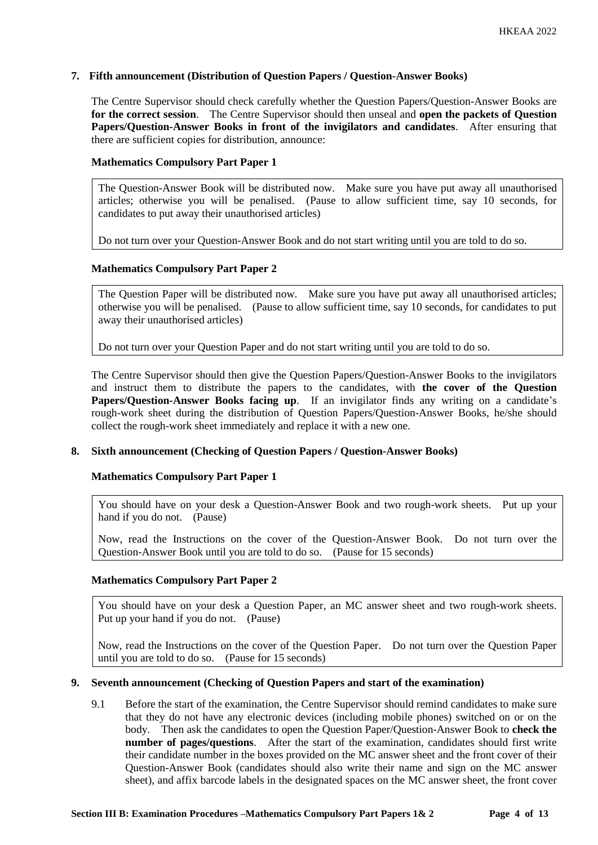## **7. Fifth announcement (Distribution of Question Papers / Question-Answer Books)**

The Centre Supervisor should check carefully whether the Question Papers/Question-Answer Books are **for the correct session**. The Centre Supervisor should then unseal and **open the packets of Question Papers/Question-Answer Books in front of the invigilators and candidates**. After ensuring that there are sufficient copies for distribution, announce:

## **Mathematics Compulsory Part Paper 1**

The Question-Answer Book will be distributed now. Make sure you have put away all unauthorised articles; otherwise you will be penalised. (Pause to allow sufficient time, say 10 seconds, for candidates to put away their unauthorised articles)

Do not turn over your Question-Answer Book and do not start writing until you are told to do so.

## **Mathematics Compulsory Part Paper 2**

The Question Paper will be distributed now. Make sure you have put away all unauthorised articles; otherwise you will be penalised. (Pause to allow sufficient time, say 10 seconds, for candidates to put away their unauthorised articles)

Do not turn over your Question Paper and do not start writing until you are told to do so.

The Centre Supervisor should then give the Question Papers/Question-Answer Books to the invigilators and instruct them to distribute the papers to the candidates, with **the cover of the Question Papers/Question-Answer Books facing up**. If an invigilator finds any writing on a candidate's rough-work sheet during the distribution of Question Papers/Question-Answer Books, he/she should collect the rough-work sheet immediately and replace it with a new one.

#### **8. Sixth announcement (Checking of Question Papers / Question-Answer Books)**

#### **Mathematics Compulsory Part Paper 1**

You should have on your desk a Question-Answer Book and two rough-work sheets. Put up your hand if you do not. (Pause)

Now, read the Instructions on the cover of the Question-Answer Book. Do not turn over the Question-Answer Book until you are told to do so. (Pause for 15 seconds)

## **Mathematics Compulsory Part Paper 2**

You should have on your desk a Question Paper, an MC answer sheet and two rough-work sheets. Put up your hand if you do not. (Pause)

Now, read the Instructions on the cover of the Question Paper. Do not turn over the Question Paper until you are told to do so. (Pause for 15 seconds)

#### **9. Seventh announcement (Checking of Question Papers and start of the examination)**

9.1 Before the start of the examination, the Centre Supervisor should remind candidates to make sure that they do not have any electronic devices (including mobile phones) switched on or on the body. Then ask the candidates to open the Question Paper/Question-Answer Book to **check the number of pages/questions**. After the start of the examination, candidates should first write their candidate number in the boxes provided on the MC answer sheet and the front cover of their Question-Answer Book (candidates should also write their name and sign on the MC answer sheet), and affix barcode labels in the designated spaces on the MC answer sheet, the front cover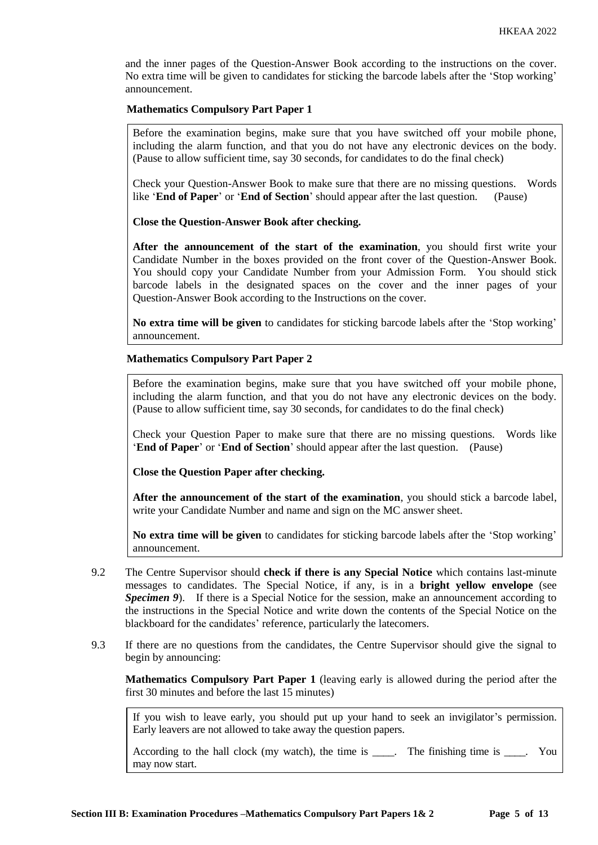and the inner pages of the Question-Answer Book according to the instructions on the cover. No extra time will be given to candidates for sticking the barcode labels after the 'Stop working' announcement.

## **Mathematics Compulsory Part Paper 1**

Before the examination begins, make sure that you have switched off your mobile phone, including the alarm function, and that you do not have any electronic devices on the body. (Pause to allow sufficient time, say 30 seconds, for candidates to do the final check)

Check your Question-Answer Book to make sure that there are no missing questions. Words like '**End of Paper**' or '**End of Section**' should appear after the last question. (Pause)

**Close the Question-Answer Book after checking.**

**After the announcement of the start of the examination**, you should first write your Candidate Number in the boxes provided on the front cover of the Question-Answer Book. You should copy your Candidate Number from your Admission Form. You should stick barcode labels in the designated spaces on the cover and the inner pages of your Question-Answer Book according to the Instructions on the cover.

**No extra time will be given** to candidates for sticking barcode labels after the 'Stop working' announcement.

## **Mathematics Compulsory Part Paper 2**

Before the examination begins, make sure that you have switched off your mobile phone, including the alarm function, and that you do not have any electronic devices on the body. (Pause to allow sufficient time, say 30 seconds, for candidates to do the final check)

Check your Question Paper to make sure that there are no missing questions. Words like '**End of Paper**' or '**End of Section**' should appear after the last question. (Pause)

**Close the Question Paper after checking.**

**After the announcement of the start of the examination**, you should stick a barcode label, write your Candidate Number and name and sign on the MC answer sheet.

**No extra time will be given** to candidates for sticking barcode labels after the 'Stop working' announcement.

- 9.2 The Centre Supervisor should **check if there is any Special Notice** which contains last-minute messages to candidates. The Special Notice, if any, is in a **bright yellow envelope** (see **Specimen 9**). If there is a Special Notice for the session, make an announcement according to the instructions in the Special Notice and write down the contents of the Special Notice on the blackboard for the candidates' reference, particularly the latecomers.
- 9.3 If there are no questions from the candidates, the Centre Supervisor should give the signal to begin by announcing:

**Mathematics Compulsory Part Paper 1** (leaving early is allowed during the period after the first 30 minutes and before the last 15 minutes)

If you wish to leave early, you should put up your hand to seek an invigilator's permission. Early leavers are not allowed to take away the question papers.

According to the hall clock (my watch), the time is \_\_\_\_. The finishing time is \_\_\_\_. You may now start.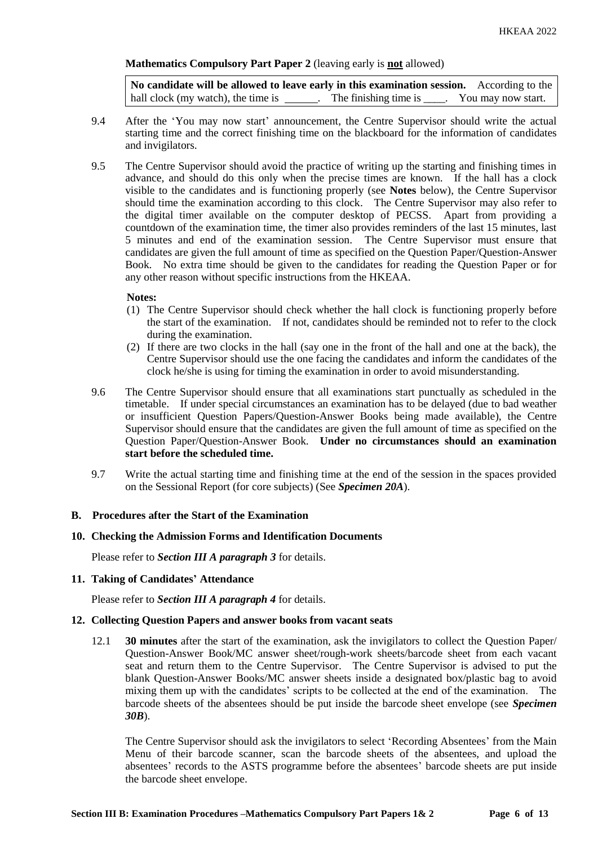## **Mathematics Compulsory Part Paper 2** (leaving early is **not** allowed)

**No candidate will be allowed to leave early in this examination session.** According to the hall clock (my watch), the time is . The finishing time is . You may now start.

- 9.4 After the 'You may now start' announcement, the Centre Supervisor should write the actual starting time and the correct finishing time on the blackboard for the information of candidates and invigilators.
- 9.5 The Centre Supervisor should avoid the practice of writing up the starting and finishing times in advance, and should do this only when the precise times are known. If the hall has a clock visible to the candidates and is functioning properly (see **Notes** below), the Centre Supervisor should time the examination according to this clock. The Centre Supervisor may also refer to the digital timer available on the computer desktop of PECSS. Apart from providing a countdown of the examination time, the timer also provides reminders of the last 15 minutes, last 5 minutes and end of the examination session. The Centre Supervisor must ensure that candidates are given the full amount of time as specified on the Question Paper/Question-Answer Book. No extra time should be given to the candidates for reading the Question Paper or for any other reason without specific instructions from the HKEAA.

#### **Notes:**

- (1) The Centre Supervisor should check whether the hall clock is functioning properly before the start of the examination. If not, candidates should be reminded not to refer to the clock during the examination.
- (2) If there are two clocks in the hall (say one in the front of the hall and one at the back), the Centre Supervisor should use the one facing the candidates and inform the candidates of the clock he/she is using for timing the examination in order to avoid misunderstanding.
- 9.6 The Centre Supervisor should ensure that all examinations start punctually as scheduled in the timetable. If under special circumstances an examination has to be delayed (due to bad weather or insufficient Question Papers/Question-Answer Books being made available), the Centre Supervisor should ensure that the candidates are given the full amount of time as specified on the Question Paper/Question-Answer Book. **Under no circumstances should an examination start before the scheduled time.**
- 9.7 Write the actual starting time and finishing time at the end of the session in the spaces provided on the Sessional Report (for core subjects) (See *Specimen 20A*).

#### **B. Procedures after the Start of the Examination**

#### **10. Checking the Admission Forms and Identification Documents**

Please refer to *Section III A paragraph 3* for details.

#### **11. Taking of Candidates' Attendance**

Please refer to *Section III A paragraph 4* for details.

## **12. Collecting Question Papers and answer books from vacant seats**

12.1 **30 minutes** after the start of the examination, ask the invigilators to collect the Question Paper/ Question-Answer Book/MC answer sheet/rough-work sheets/barcode sheet from each vacant seat and return them to the Centre Supervisor. The Centre Supervisor is advised to put the blank Question-Answer Books/MC answer sheets inside a designated box/plastic bag to avoid mixing them up with the candidates' scripts to be collected at the end of the examination. The barcode sheets of the absentees should be put inside the barcode sheet envelope (see *Specimen 30B*).

The Centre Supervisor should ask the invigilators to select 'Recording Absentees' from the Main Menu of their barcode scanner, scan the barcode sheets of the absentees, and upload the absentees' records to the ASTS programme before the absentees' barcode sheets are put inside the barcode sheet envelope.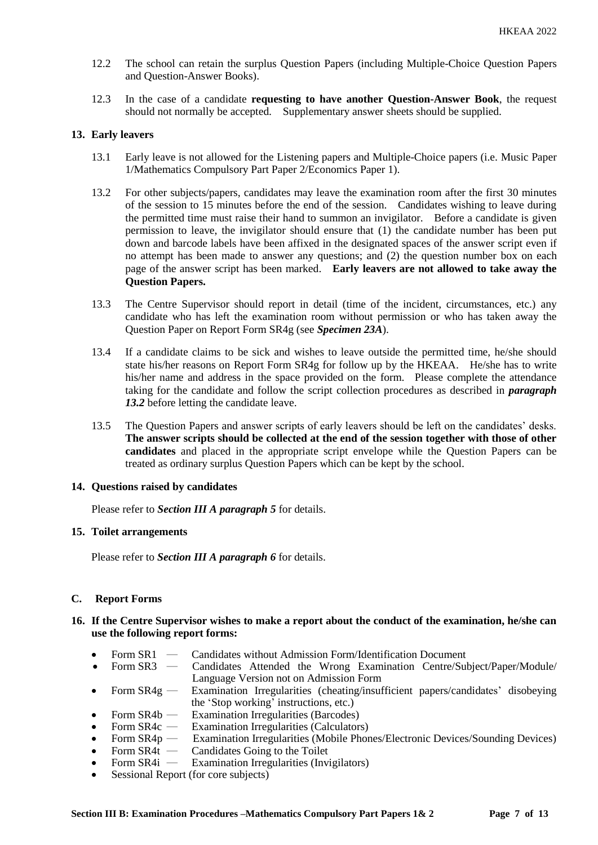- 12.2 The school can retain the surplus Question Papers (including Multiple-Choice Question Papers and Question-Answer Books).
- 12.3 In the case of a candidate **requesting to have another Question-Answer Book**, the request should not normally be accepted. Supplementary answer sheets should be supplied.

## **13. Early leavers**

- 13.1 Early leave is not allowed for the Listening papers and Multiple-Choice papers (i.e. Music Paper 1/Mathematics Compulsory Part Paper 2/Economics Paper 1).
- 13.2 For other subjects/papers, candidates may leave the examination room after the first 30 minutes of the session to 15 minutes before the end of the session. Candidates wishing to leave during the permitted time must raise their hand to summon an invigilator. Before a candidate is given permission to leave, the invigilator should ensure that (1) the candidate number has been put down and barcode labels have been affixed in the designated spaces of the answer script even if no attempt has been made to answer any questions; and (2) the question number box on each page of the answer script has been marked. **Early leavers are not allowed to take away the Question Papers.**
- 13.3 The Centre Supervisor should report in detail (time of the incident, circumstances, etc.) any candidate who has left the examination room without permission or who has taken away the Question Paper on Report Form SR4g (see *Specimen 23A*).
- 13.4 If a candidate claims to be sick and wishes to leave outside the permitted time, he/she should state his/her reasons on Report Form SR4g for follow up by the HKEAA. He/she has to write his/her name and address in the space provided on the form. Please complete the attendance taking for the candidate and follow the script collection procedures as described in *paragraph 13.2* before letting the candidate leave.
- 13.5 The Question Papers and answer scripts of early leavers should be left on the candidates' desks. **The answer scripts should be collected at the end of the session together with those of other candidates** and placed in the appropriate script envelope while the Question Papers can be treated as ordinary surplus Question Papers which can be kept by the school.

#### **14. Questions raised by candidates**

Please refer to *Section III A paragraph 5* for details.

#### **15. Toilet arrangements**

Please refer to *Section III A paragraph 6* for details.

## **C. Report Forms**

## **16. If the Centre Supervisor wishes to make a report about the conduct of the examination, he/she can use the following report forms:**

- Form SR1 ― Candidates without Admission Form/Identification Document
- Form SR3 ― Candidates Attended the Wrong Examination Centre/Subject/Paper/Module/ Language Version not on Admission Form
- Form SR4g Examination Irregularities (cheating/insufficient papers/candidates' disobeying the 'Stop working' instructions, etc.)
- Form SR4b Examination Irregularities (Barcodes)
- Form SR4c Examination Irregularities (Calculators)
- Form SR4p ― Examination Irregularities (Mobile Phones/Electronic Devices/Sounding Devices)
- Form SR4t Candidates Going to the Toilet
- Form  $SR4i$  Examination Irregularities (Invigilators)
- Sessional Report (for core subjects)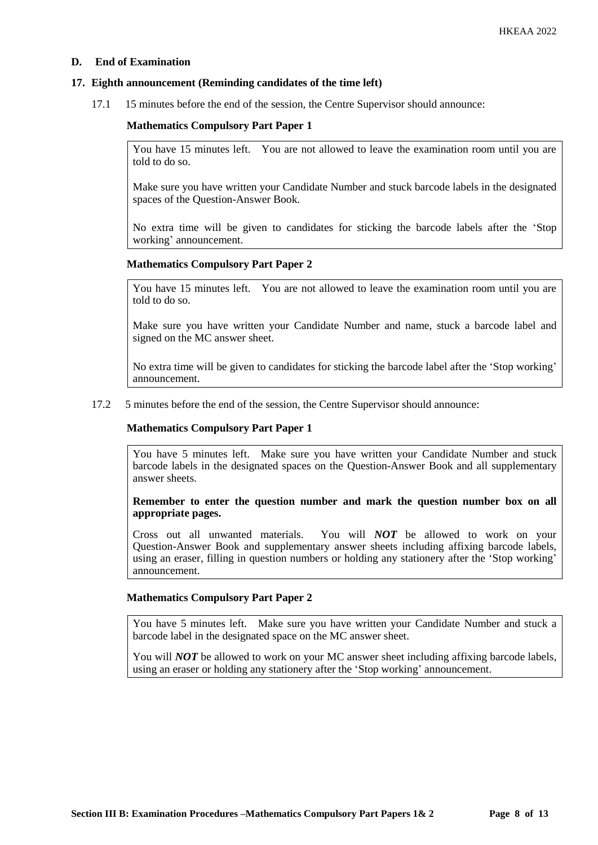## **D. End of Examination**

## **17. Eighth announcement (Reminding candidates of the time left)**

17.1 15 minutes before the end of the session, the Centre Supervisor should announce:

#### **Mathematics Compulsory Part Paper 1**

You have 15 minutes left. You are not allowed to leave the examination room until you are told to do so.

Make sure you have written your Candidate Number and stuck barcode labels in the designated spaces of the Question-Answer Book.

No extra time will be given to candidates for sticking the barcode labels after the 'Stop working' announcement.

#### **Mathematics Compulsory Part Paper 2**

You have 15 minutes left. You are not allowed to leave the examination room until you are told to do so.

Make sure you have written your Candidate Number and name, stuck a barcode label and signed on the MC answer sheet.

No extra time will be given to candidates for sticking the barcode label after the 'Stop working' announcement.

#### 17.2 5 minutes before the end of the session, the Centre Supervisor should announce:

#### **Mathematics Compulsory Part Paper 1**

You have 5 minutes left. Make sure you have written your Candidate Number and stuck barcode labels in the designated spaces on the Question-Answer Book and all supplementary answer sheets.

**Remember to enter the question number and mark the question number box on all appropriate pages.** 

Cross out all unwanted materials. You will *NOT* be allowed to work on your Question-Answer Book and supplementary answer sheets including affixing barcode labels, using an eraser, filling in question numbers or holding any stationery after the 'Stop working' announcement.

## **Mathematics Compulsory Part Paper 2**

You have 5 minutes left. Make sure you have written your Candidate Number and stuck a barcode label in the designated space on the MC answer sheet.

You will *NOT* be allowed to work on your MC answer sheet including affixing barcode labels, using an eraser or holding any stationery after the 'Stop working' announcement.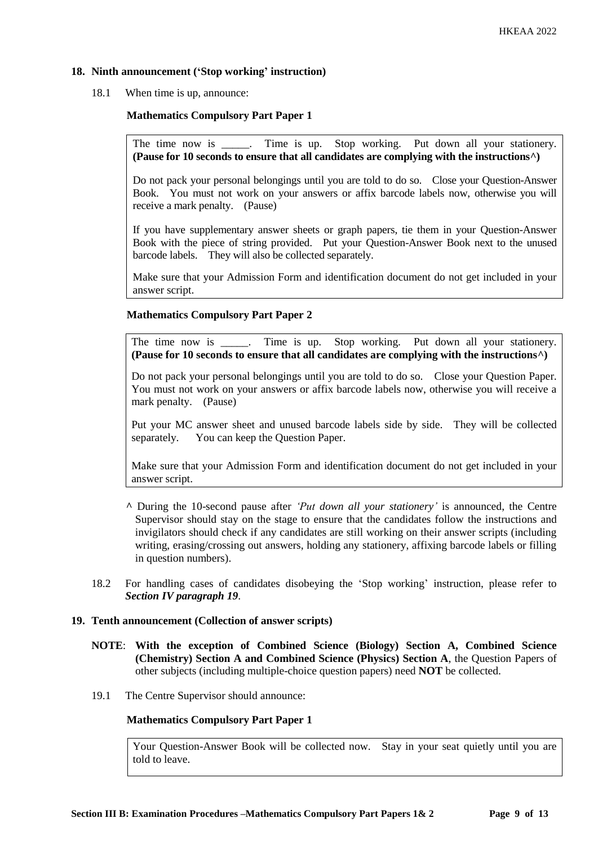## **18. Ninth announcement ('Stop working' instruction)**

18.1 When time is up, announce:

## **Mathematics Compulsory Part Paper 1**

The time now is \_\_\_\_\_. Time is up. Stop working. Put down all your stationery. **(Pause for 10 seconds to ensure that all candidates are complying with the instructions^)**

Do not pack your personal belongings until you are told to do so. Close your Question-Answer Book. You must not work on your answers or affix barcode labels now, otherwise you will receive a mark penalty. (Pause)

If you have supplementary answer sheets or graph papers, tie them in your Question-Answer Book with the piece of string provided. Put your Question-Answer Book next to the unused barcode labels. They will also be collected separately.

Make sure that your Admission Form and identification document do not get included in your answer script.

## **Mathematics Compulsory Part Paper 2**

The time now is \_\_\_\_\_. Time is up. Stop working. Put down all your stationery. **(Pause for 10 seconds to ensure that all candidates are complying with the instructions^)**

Do not pack your personal belongings until you are told to do so. Close your Question Paper. You must not work on your answers or affix barcode labels now, otherwise you will receive a mark penalty. (Pause)

Put your MC answer sheet and unused barcode labels side by side. They will be collected separately. You can keep the Question Paper.

Make sure that your Admission Form and identification document do not get included in your answer script.

- **^** During the 10-second pause after *'Put down all your stationery'* is announced, the Centre Supervisor should stay on the stage to ensure that the candidates follow the instructions and invigilators should check if any candidates are still working on their answer scripts (including writing, erasing/crossing out answers, holding any stationery, affixing barcode labels or filling in question numbers).
- 18.2 For handling cases of candidates disobeying the 'Stop working' instruction, please refer to *Section IV paragraph 19*.

## **19. Tenth announcement (Collection of answer scripts)**

- **NOTE**: **With the exception of Combined Science (Biology) Section A, Combined Science (Chemistry) Section A and Combined Science (Physics) Section A**, the Question Papers of other subjects (including multiple-choice question papers) need **NOT** be collected.
- 19.1 The Centre Supervisor should announce:

### **Mathematics Compulsory Part Paper 1**

Your Question-Answer Book will be collected now. Stay in your seat quietly until you are told to leave.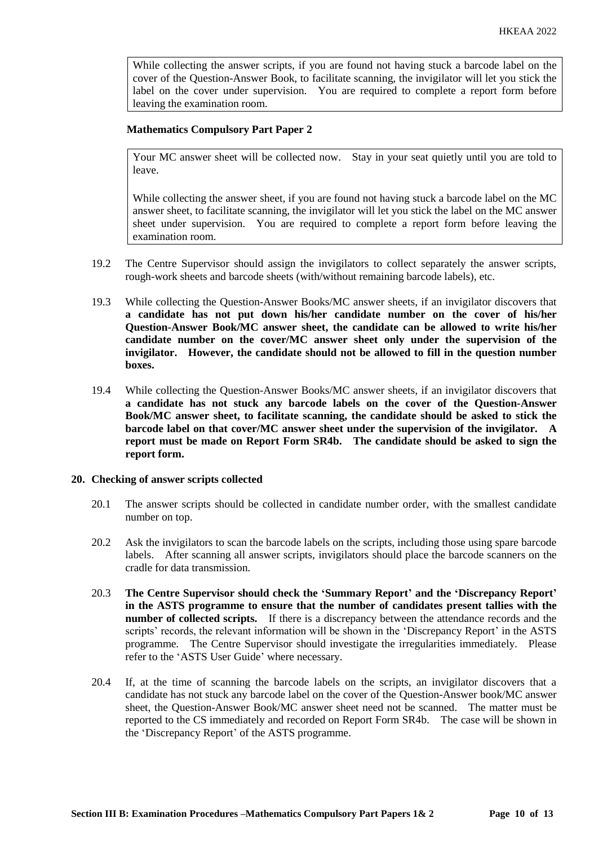While collecting the answer scripts, if you are found not having stuck a barcode label on the cover of the Question-Answer Book, to facilitate scanning, the invigilator will let you stick the label on the cover under supervision. You are required to complete a report form before leaving the examination room.

#### **Mathematics Compulsory Part Paper 2**

Your MC answer sheet will be collected now. Stay in your seat quietly until you are told to leave.

While collecting the answer sheet, if you are found not having stuck a barcode label on the MC answer sheet, to facilitate scanning, the invigilator will let you stick the label on the MC answer sheet under supervision. You are required to complete a report form before leaving the examination room.

- 19.2 The Centre Supervisor should assign the invigilators to collect separately the answer scripts, rough-work sheets and barcode sheets (with/without remaining barcode labels), etc.
- 19.3 While collecting the Question-Answer Books/MC answer sheets, if an invigilator discovers that **a candidate has not put down his/her candidate number on the cover of his/her Question-Answer Book/MC answer sheet, the candidate can be allowed to write his/her candidate number on the cover/MC answer sheet only under the supervision of the invigilator. However, the candidate should not be allowed to fill in the question number boxes.**
- 19.4 While collecting the Question-Answer Books/MC answer sheets, if an invigilator discovers that **a candidate has not stuck any barcode labels on the cover of the Question-Answer Book/MC answer sheet, to facilitate scanning, the candidate should be asked to stick the barcode label on that cover/MC answer sheet under the supervision of the invigilator. A report must be made on Report Form SR4b. The candidate should be asked to sign the report form.**

## **20. Checking of answer scripts collected**

- 20.1 The answer scripts should be collected in candidate number order, with the smallest candidate number on top.
- 20.2 Ask the invigilators to scan the barcode labels on the scripts, including those using spare barcode labels. After scanning all answer scripts, invigilators should place the barcode scanners on the cradle for data transmission.
- 20.3 **The Centre Supervisor should check the 'Summary Report' and the 'Discrepancy Report' in the ASTS programme to ensure that the number of candidates present tallies with the number of collected scripts.** If there is a discrepancy between the attendance records and the scripts' records, the relevant information will be shown in the 'Discrepancy Report' in the ASTS programme. The Centre Supervisor should investigate the irregularities immediately. Please refer to the 'ASTS User Guide' where necessary.
- 20.4 If, at the time of scanning the barcode labels on the scripts, an invigilator discovers that a candidate has not stuck any barcode label on the cover of the Question-Answer book/MC answer sheet, the Question-Answer Book/MC answer sheet need not be scanned. The matter must be reported to the CS immediately and recorded on Report Form SR4b. The case will be shown in the 'Discrepancy Report' of the ASTS programme.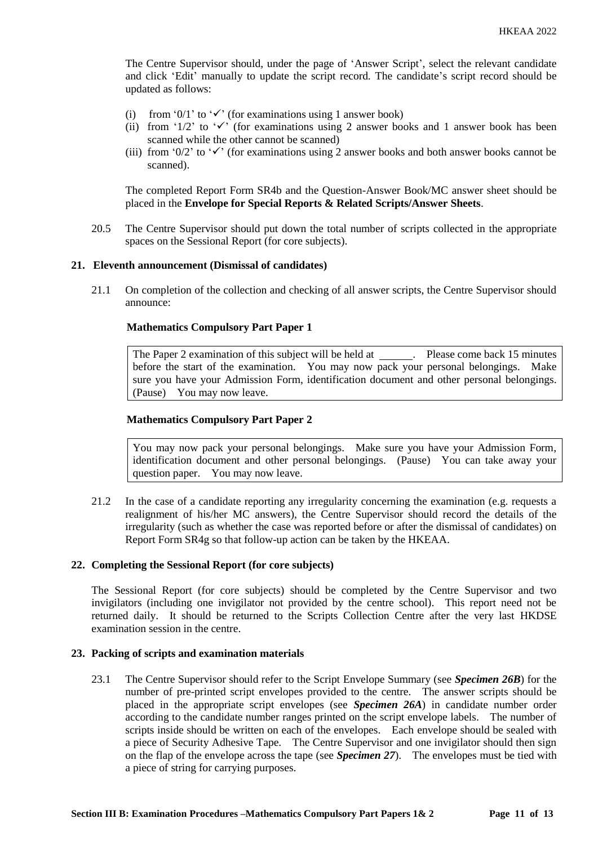The Centre Supervisor should, under the page of 'Answer Script', select the relevant candidate and click 'Edit' manually to update the script record. The candidate's script record should be updated as follows:

- (i) from '0/1' to ' $\checkmark$ ' (for examinations using 1 answer book)
- (ii) from '1/2' to ' $\checkmark$ ' (for examinations using 2 answer books and 1 answer book has been scanned while the other cannot be scanned)
- (iii) from '0/2' to ' $\checkmark$ ' (for examinations using 2 answer books and both answer books cannot be scanned).

The completed Report Form SR4b and the Question-Answer Book/MC answer sheet should be placed in the **Envelope for Special Reports & Related Scripts/Answer Sheets**.

20.5 The Centre Supervisor should put down the total number of scripts collected in the appropriate spaces on the Sessional Report (for core subjects).

#### **21. Eleventh announcement (Dismissal of candidates)**

21.1 On completion of the collection and checking of all answer scripts, the Centre Supervisor should announce:

## **Mathematics Compulsory Part Paper 1**

The Paper 2 examination of this subject will be held at \_\_\_\_\_\_. Please come back 15 minutes before the start of the examination. You may now pack your personal belongings. Make sure you have your Admission Form, identification document and other personal belongings. (Pause) You may now leave.

#### **Mathematics Compulsory Part Paper 2**

You may now pack your personal belongings. Make sure you have your Admission Form, identification document and other personal belongings. (Pause) You can take away your question paper. You may now leave.

21.2 In the case of a candidate reporting any irregularity concerning the examination (e.g. requests a realignment of his/her MC answers), the Centre Supervisor should record the details of the irregularity (such as whether the case was reported before or after the dismissal of candidates) on Report Form SR4g so that follow-up action can be taken by the HKEAA.

#### **22. Completing the Sessional Report (for core subjects)**

The Sessional Report (for core subjects) should be completed by the Centre Supervisor and two invigilators (including one invigilator not provided by the centre school). This report need not be returned daily. It should be returned to the Scripts Collection Centre after the very last HKDSE examination session in the centre.

## **23. Packing of scripts and examination materials**

23.1 The Centre Supervisor should refer to the Script Envelope Summary (see *Specimen 26B*) for the number of pre-printed script envelopes provided to the centre. The answer scripts should be placed in the appropriate script envelopes (see *Specimen 26A*) in candidate number order according to the candidate number ranges printed on the script envelope labels. The number of scripts inside should be written on each of the envelopes. Each envelope should be sealed with a piece of Security Adhesive Tape. The Centre Supervisor and one invigilator should then sign on the flap of the envelope across the tape (see *Specimen 27*). The envelopes must be tied with a piece of string for carrying purposes.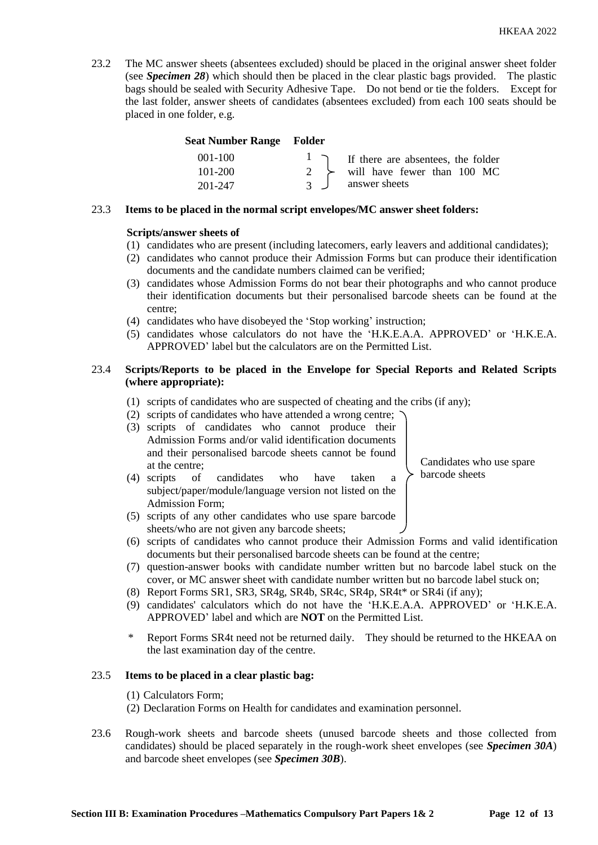23.2 The MC answer sheets (absentees excluded) should be placed in the original answer sheet folder (see *Specimen 28*) which should then be placed in the clear plastic bags provided. The plastic bags should be sealed with Security Adhesive Tape. Do not bend or tie the folders. Except for the last folder, answer sheets of candidates (absentees excluded) from each 100 seats should be placed in one folder, e.g.

## **Seat Number Range Folder**

| 001-100     | If there are absentees, the folder        |
|-------------|-------------------------------------------|
| $101 - 200$ | $\rightarrow$ will have fewer than 100 MC |
| 201-247     | answer sheets                             |

## 23.3 **Items to be placed in the normal script envelopes/MC answer sheet folders:**

## **Scripts/answer sheets of**

- (1) candidates who are present (including latecomers, early leavers and additional candidates);
- (2) candidates who cannot produce their Admission Forms but can produce their identification documents and the candidate numbers claimed can be verified;
- (3) candidates whose Admission Forms do not bear their photographs and who cannot produce their identification documents but their personalised barcode sheets can be found at the centre;
- (4) candidates who have disobeyed the 'Stop working' instruction;
- (5) candidates whose calculators do not have the 'H.K.E.A.A. APPROVED' or 'H.K.E.A. APPROVED' label but the calculators are on the Permitted List.

## 23.4 **Scripts/Reports to be placed in the Envelope for Special Reports and Related Scripts (where appropriate):**

- (1) scripts of candidates who are suspected of cheating and the cribs (if any);
- (2) scripts of candidates who have attended a wrong centre;
- (3) scripts of candidates who cannot produce their Admission Forms and/or valid identification documents and their personalised barcode sheets cannot be found at the centre;

(4) scripts of candidates who have taken a

Candidates who use spare barcode sheets

- subject/paper/module/language version not listed on the Admission Form; (5) scripts of any other candidates who use spare barcode
- sheets/who are not given any barcode sheets; (6) scripts of candidates who cannot produce their Admission Forms and valid identification documents but their personalised barcode sheets can be found at the centre;
- (7) question-answer books with candidate number written but no barcode label stuck on the cover, or MC answer sheet with candidate number written but no barcode label stuck on;
- (8) Report Forms SR1, SR3, SR4g, SR4b, SR4c, SR4p, SR4t\* or SR4i (if any);
- (9) candidates' calculators which do not have the 'H.K.E.A.A. APPROVED' or 'H.K.E.A. APPROVED' label and which are **NOT** on the Permitted List.
- Report Forms SR4t need not be returned daily. They should be returned to the HKEAA on the last examination day of the centre.

#### 23.5 **Items to be placed in a clear plastic bag:**

- (1) Calculators Form;
- (2) Declaration Forms on Health for candidates and examination personnel.
- 23.6 Rough-work sheets and barcode sheets (unused barcode sheets and those collected from candidates) should be placed separately in the rough-work sheet envelopes (see *Specimen 30A*) and barcode sheet envelopes (see *Specimen 30B*).